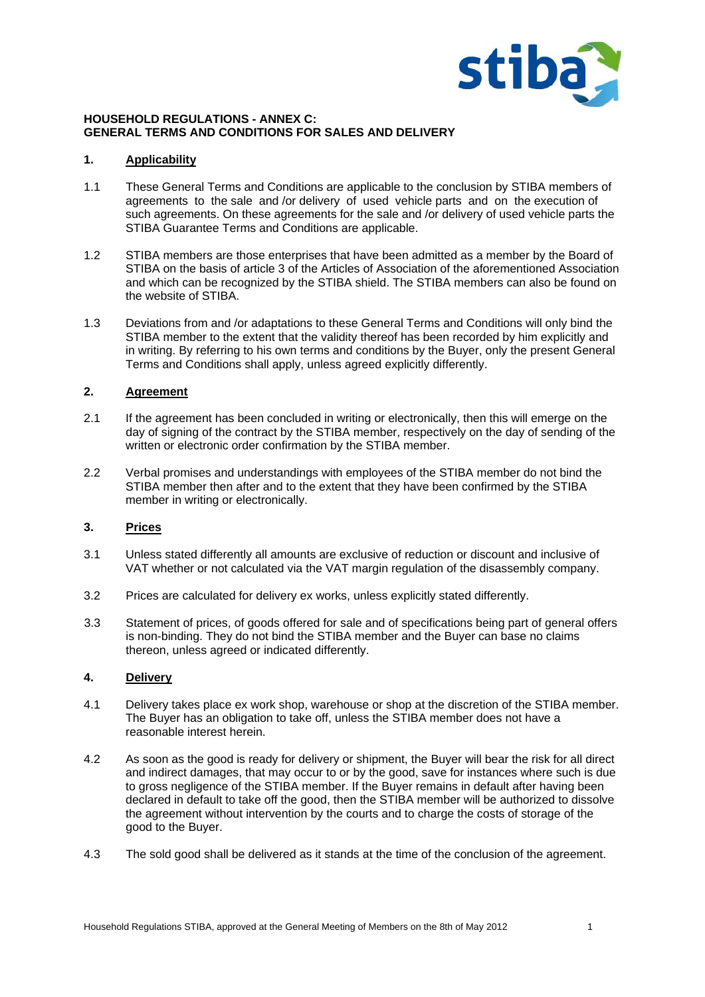

#### **HOUSEHOLD REGULATIONS - ANNEX C: GENERAL TERMS AND CONDITIONS FOR SALES AND DELIVERY**

### **1. Applicability**

- 1.1 These General Terms and Conditions are applicable to the conclusion by STIBA members of agreements to the sale and /or delivery of used vehicle parts and on the execution of such agreements. On these agreements for the sale and /or delivery of used vehicle parts the STIBA Guarantee Terms and Conditions are applicable.
- 1.2 STIBA members are those enterprises that have been admitted as a member by the Board of STIBA on the basis of article 3 of the Articles of Association of the aforementioned Association and which can be recognized by the STIBA shield. The STIBA members can also be found on the website of STIBA.
- 1.3 Deviations from and /or adaptations to these General Terms and Conditions will only bind the STIBA member to the extent that the validity thereof has been recorded by him explicitly and in writing. By referring to his own terms and conditions by the Buyer, only the present General Terms and Conditions shall apply, unless agreed explicitly differently.

### **2. Agreement**

- 2.1 If the agreement has been concluded in writing or electronically, then this will emerge on the day of signing of the contract by the STIBA member, respectively on the day of sending of the written or electronic order confirmation by the STIBA member.
- 2.2 Verbal promises and understandings with employees of the STIBA member do not bind the STIBA member then after and to the extent that they have been confirmed by the STIBA member in writing or electronically.

## **3. Prices**

- 3.1 Unless stated differently all amounts are exclusive of reduction or discount and inclusive of VAT whether or not calculated via the VAT margin regulation of the disassembly company.
- 3.2 Prices are calculated for delivery ex works, unless explicitly stated differently.
- 3.3 Statement of prices, of goods offered for sale and of specifications being part of general offers is non-binding. They do not bind the STIBA member and the Buyer can base no claims thereon, unless agreed or indicated differently.

#### **4. Delivery**

- 4.1 Delivery takes place ex work shop, warehouse or shop at the discretion of the STIBA member. The Buyer has an obligation to take off, unless the STIBA member does not have a reasonable interest herein.
- 4.2 As soon as the good is ready for delivery or shipment, the Buyer will bear the risk for all direct and indirect damages, that may occur to or by the good, save for instances where such is due to gross negligence of the STIBA member. If the Buyer remains in default after having been declared in default to take off the good, then the STIBA member will be authorized to dissolve the agreement without intervention by the courts and to charge the costs of storage of the good to the Buyer.
- 4.3 The sold good shall be delivered as it stands at the time of the conclusion of the agreement.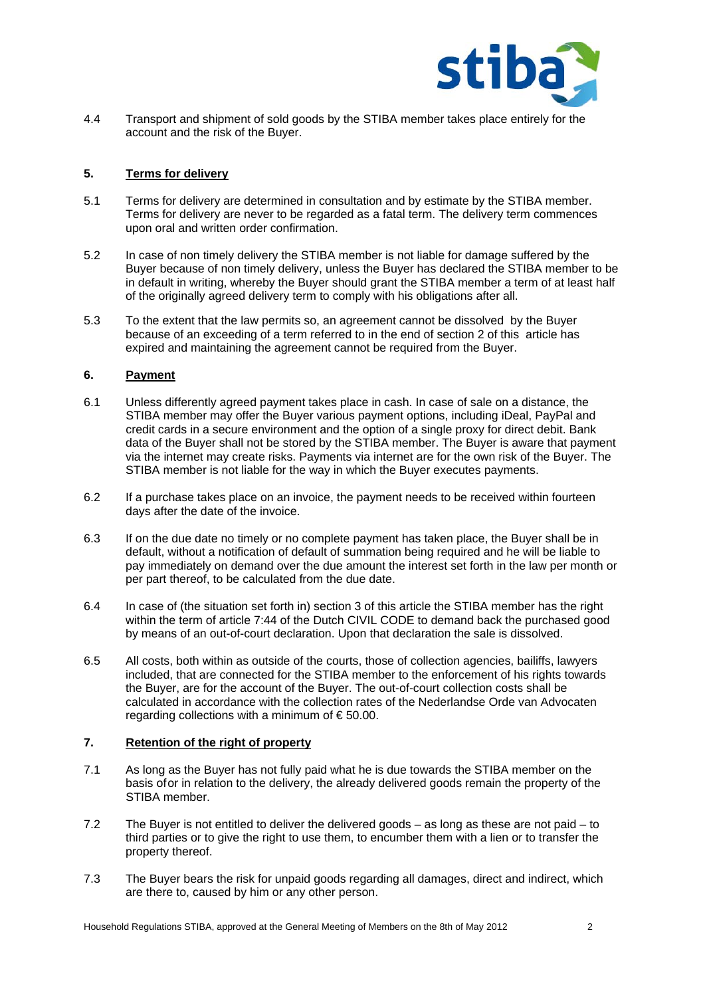

4.4 Transport and shipment of sold goods by the STIBA member takes place entirely for the account and the risk of the Buyer.

## **5. Terms for delivery**

- 5.1 Terms for delivery are determined in consultation and by estimate by the STIBA member. Terms for delivery are never to be regarded as a fatal term. The delivery term commences upon oral and written order confirmation.
- 5.2 In case of non timely delivery the STIBA member is not liable for damage suffered by the Buyer because of non timely delivery, unless the Buyer has declared the STIBA member to be in default in writing, whereby the Buyer should grant the STIBA member a term of at least half of the originally agreed delivery term to comply with his obligations after all.
- 5.3 To the extent that the law permits so, an agreement cannot be dissolved by the Buyer because of an exceeding of a term referred to in the end of section 2 of this article has expired and maintaining the agreement cannot be required from the Buyer.

### **6. Payment**

- 6.1 Unless differently agreed payment takes place in cash. In case of sale on a distance, the STIBA member may offer the Buyer various payment options, including iDeal, PayPal and credit cards in a secure environment and the option of a single proxy for direct debit. Bank data of the Buyer shall not be stored by the STIBA member. The Buyer is aware that payment via the internet may create risks. Payments via internet are for the own risk of the Buyer. The STIBA member is not liable for the way in which the Buyer executes payments.
- 6.2 If a purchase takes place on an invoice, the payment needs to be received within fourteen days after the date of the invoice.
- 6.3 If on the due date no timely or no complete payment has taken place, the Buyer shall be in default, without a notification of default of summation being required and he will be liable to pay immediately on demand over the due amount the interest set forth in the law per month or per part thereof, to be calculated from the due date.
- 6.4 In case of (the situation set forth in) section 3 of this article the STIBA member has the right within the term of article 7:44 of the Dutch CIVIL CODE to demand back the purchased good by means of an out-of-court declaration. Upon that declaration the sale is dissolved.
- 6.5 All costs, both within as outside of the courts, those of collection agencies, bailiffs, lawyers included, that are connected for the STIBA member to the enforcement of his rights towards the Buyer, are for the account of the Buyer. The out-of-court collection costs shall be calculated in accordance with the collection rates of the Nederlandse Orde van Advocaten regarding collections with a minimum of  $\epsilon$  50.00.

## **7. Retention of the right of property**

- 7.1 As long as the Buyer has not fully paid what he is due towards the STIBA member on the basis of or in relation to the delivery, the already delivered goods remain the property of the STIBA member.
- 7.2 The Buyer is not entitled to deliver the delivered goods as long as these are not paid to third parties or to give the right to use them, to encumber them with a lien or to transfer the property thereof.
- 7.3 The Buyer bears the risk for unpaid goods regarding all damages, direct and indirect, which are there to, caused by him or any other person.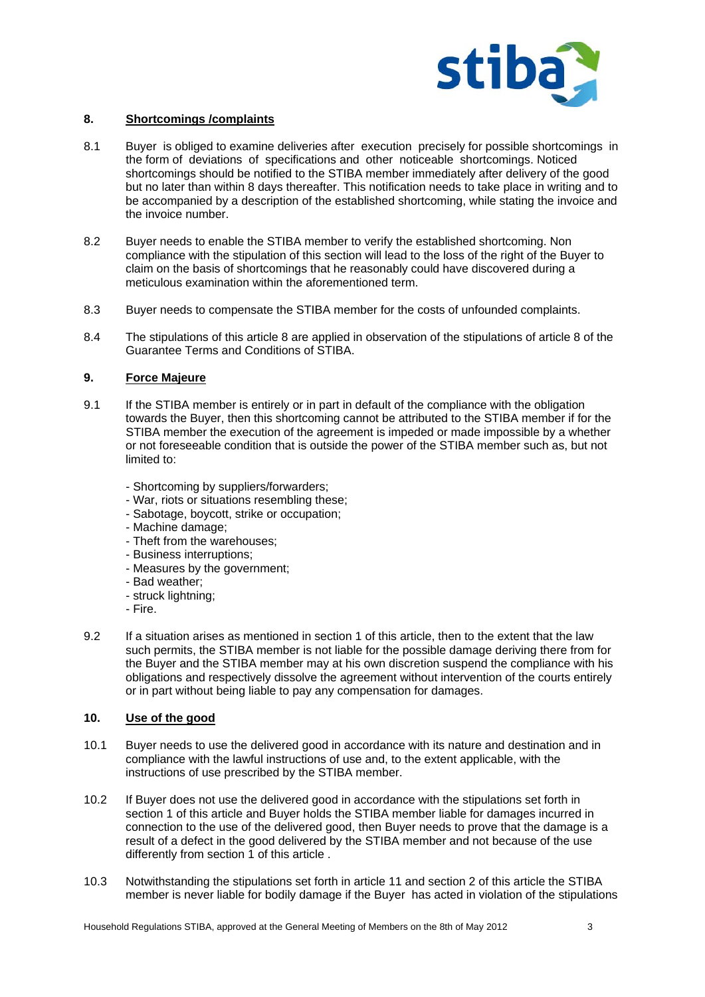

## **8. Shortcomings /complaints**

- 8.1 Buyer is obliged to examine deliveries after execution precisely for possible shortcomings in the form of deviations of specifications and other noticeable shortcomings. Noticed shortcomings should be notified to the STIBA member immediately after delivery of the good but no later than within 8 days thereafter. This notification needs to take place in writing and to be accompanied by a description of the established shortcoming, while stating the invoice and the invoice number.
- 8.2 Buyer needs to enable the STIBA member to verify the established shortcoming. Non compliance with the stipulation of this section will lead to the loss of the right of the Buyer to claim on the basis of shortcomings that he reasonably could have discovered during a meticulous examination within the aforementioned term.
- 8.3 Buyer needs to compensate the STIBA member for the costs of unfounded complaints.
- 8.4 The stipulations of this article 8 are applied in observation of the stipulations of article 8 of the Guarantee Terms and Conditions of STIBA.

#### **9. Force Majeure**

- 9.1 If the STIBA member is entirely or in part in default of the compliance with the obligation towards the Buyer, then this shortcoming cannot be attributed to the STIBA member if for the STIBA member the execution of the agreement is impeded or made impossible by a whether or not foreseeable condition that is outside the power of the STIBA member such as, but not limited to:
	- Shortcoming by suppliers/forwarders;
	- War, riots or situations resembling these;
	- Sabotage, boycott, strike or occupation;
	- Machine damage;
	- Theft from the warehouses;
	- Business interruptions;
	- Measures by the government;
	- Bad weather;
	- struck lightning;
	- Fire.
- 9.2 If a situation arises as mentioned in section 1 of this article, then to the extent that the law such permits, the STIBA member is not liable for the possible damage deriving there from for the Buyer and the STIBA member may at his own discretion suspend the compliance with his obligations and respectively dissolve the agreement without intervention of the courts entirely or in part without being liable to pay any compensation for damages.

#### **10. Use of the good**

- 10.1 Buyer needs to use the delivered good in accordance with its nature and destination and in compliance with the lawful instructions of use and, to the extent applicable, with the instructions of use prescribed by the STIBA member.
- 10.2 If Buyer does not use the delivered good in accordance with the stipulations set forth in section 1 of this article and Buyer holds the STIBA member liable for damages incurred in connection to the use of the delivered good, then Buyer needs to prove that the damage is a result of a defect in the good delivered by the STIBA member and not because of the use differently from section 1 of this article .
- 10.3 Notwithstanding the stipulations set forth in article 11 and section 2 of this article the STIBA member is never liable for bodily damage if the Buyer has acted in violation of the stipulations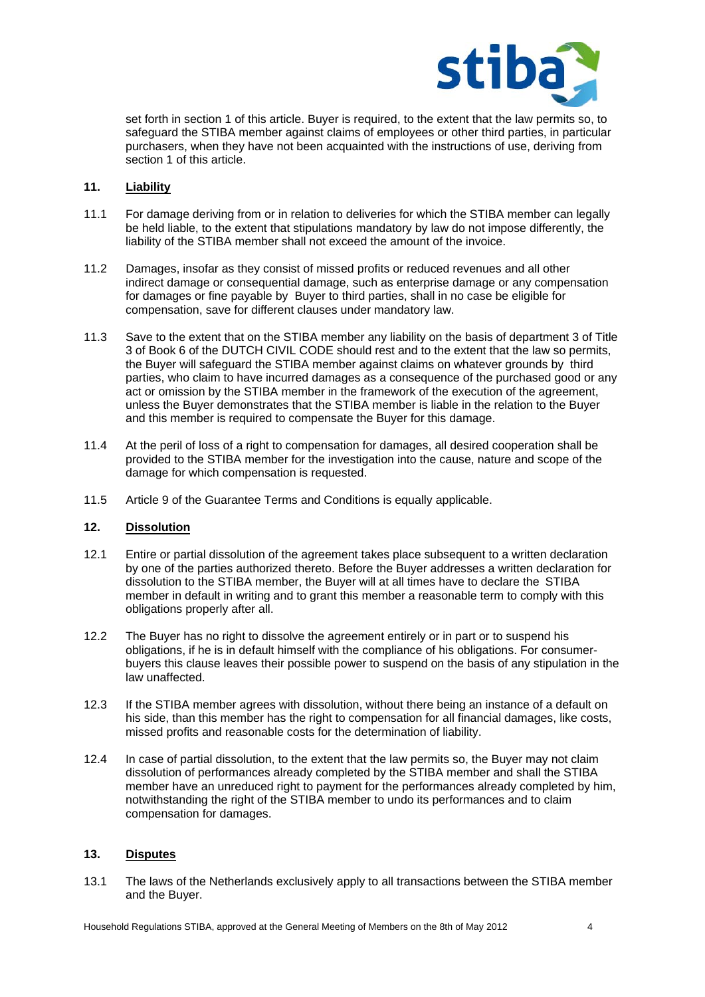

set forth in section 1 of this article. Buyer is required, to the extent that the law permits so, to safeguard the STIBA member against claims of employees or other third parties, in particular purchasers, when they have not been acquainted with the instructions of use, deriving from section 1 of this article.

# **11. Liability**

- 11.1 For damage deriving from or in relation to deliveries for which the STIBA member can legally be held liable, to the extent that stipulations mandatory by law do not impose differently, the liability of the STIBA member shall not exceed the amount of the invoice.
- 11.2 Damages, insofar as they consist of missed profits or reduced revenues and all other indirect damage or consequential damage, such as enterprise damage or any compensation for damages or fine payable by Buyer to third parties, shall in no case be eligible for compensation, save for different clauses under mandatory law.
- 11.3 Save to the extent that on the STIBA member any liability on the basis of department 3 of Title 3 of Book 6 of the DUTCH CIVIL CODE should rest and to the extent that the law so permits, the Buyer will safeguard the STIBA member against claims on whatever grounds by third parties, who claim to have incurred damages as a consequence of the purchased good or any act or omission by the STIBA member in the framework of the execution of the agreement, unless the Buyer demonstrates that the STIBA member is liable in the relation to the Buyer and this member is required to compensate the Buyer for this damage.
- 11.4 At the peril of loss of a right to compensation for damages, all desired cooperation shall be provided to the STIBA member for the investigation into the cause, nature and scope of the damage for which compensation is requested.
- 11.5 Article 9 of the Guarantee Terms and Conditions is equally applicable.

## **12. Dissolution**

- 12.1 Entire or partial dissolution of the agreement takes place subsequent to a written declaration by one of the parties authorized thereto. Before the Buyer addresses a written declaration for dissolution to the STIBA member, the Buyer will at all times have to declare the STIBA member in default in writing and to grant this member a reasonable term to comply with this obligations properly after all.
- 12.2 The Buyer has no right to dissolve the agreement entirely or in part or to suspend his obligations, if he is in default himself with the compliance of his obligations. For consumerbuyers this clause leaves their possible power to suspend on the basis of any stipulation in the law unaffected.
- 12.3 If the STIBA member agrees with dissolution, without there being an instance of a default on his side, than this member has the right to compensation for all financial damages, like costs, missed profits and reasonable costs for the determination of liability.
- 12.4 In case of partial dissolution, to the extent that the law permits so, the Buyer may not claim dissolution of performances already completed by the STIBA member and shall the STIBA member have an unreduced right to payment for the performances already completed by him, notwithstanding the right of the STIBA member to undo its performances and to claim compensation for damages.

#### **13. Disputes**

13.1 The laws of the Netherlands exclusively apply to all transactions between the STIBA member and the Buyer.